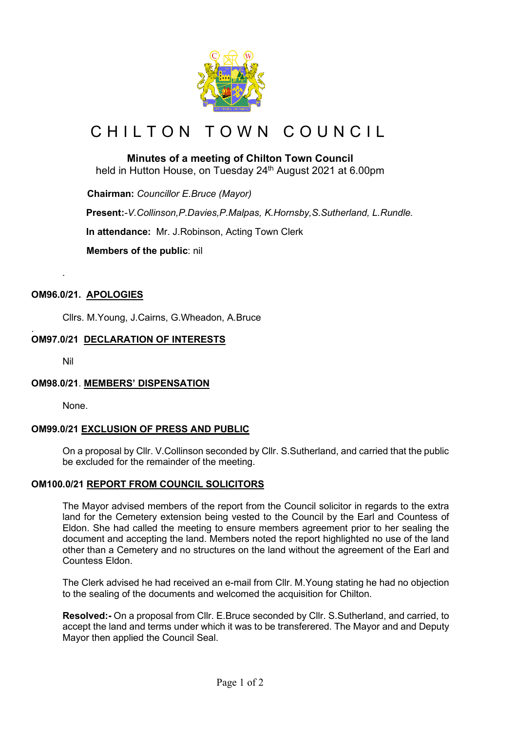

# CHILTON TOWN COUNCIL

# **Minutes of a meeting of Chilton Town Council**

held in Hutton House, on Tuesday 24<sup>th</sup> August 2021 at 6.00pm

 **Chairman:** *Councillor E.Bruce (Mayor)*

**Present:***-V.Collinson,P.Davies,P.Malpas, K.Hornsby,S.Sutherland, L.Rundle.*

**In attendance:** Mr. J.Robinson, Acting Town Clerk

 **Members of the public**: nil

# **OM96.0/21. APOLOGIES**

Cllrs. M.Young, J.Cairns, G.Wheadon, A.Bruce

#### . **OM97.0/21 DECLARATION OF INTERESTS**

Nil

*.*

# **OM98.0/21**. **MEMBERS' DISPENSATION**

None.

# **OM99.0/21 EXCLUSION OF PRESS AND PUBLIC**

On a proposal by Cllr. V.Collinson seconded by Cllr. S.Sutherland, and carried that the public be excluded for the remainder of the meeting.

# **OM100.0/21 REPORT FROM COUNCIL SOLICITORS**

The Mayor advised members of the report from the Council solicitor in regards to the extra land for the Cemetery extension being vested to the Council by the Earl and Countess of Eldon. She had called the meeting to ensure members agreement prior to her sealing the document and accepting the land. Members noted the report highlighted no use of the land other than a Cemetery and no structures on the land without the agreement of the Earl and Countess Eldon.

The Clerk advised he had received an e-mail from Cllr. M.Young stating he had no objection to the sealing of the documents and welcomed the acquisition for Chilton.

**Resolved:-** On a proposal from Cllr. E.Bruce seconded by Cllr. S.Sutherland, and carried, to accept the land and terms under which it was to be transferered. The Mayor and and Deputy Mayor then applied the Council Seal.